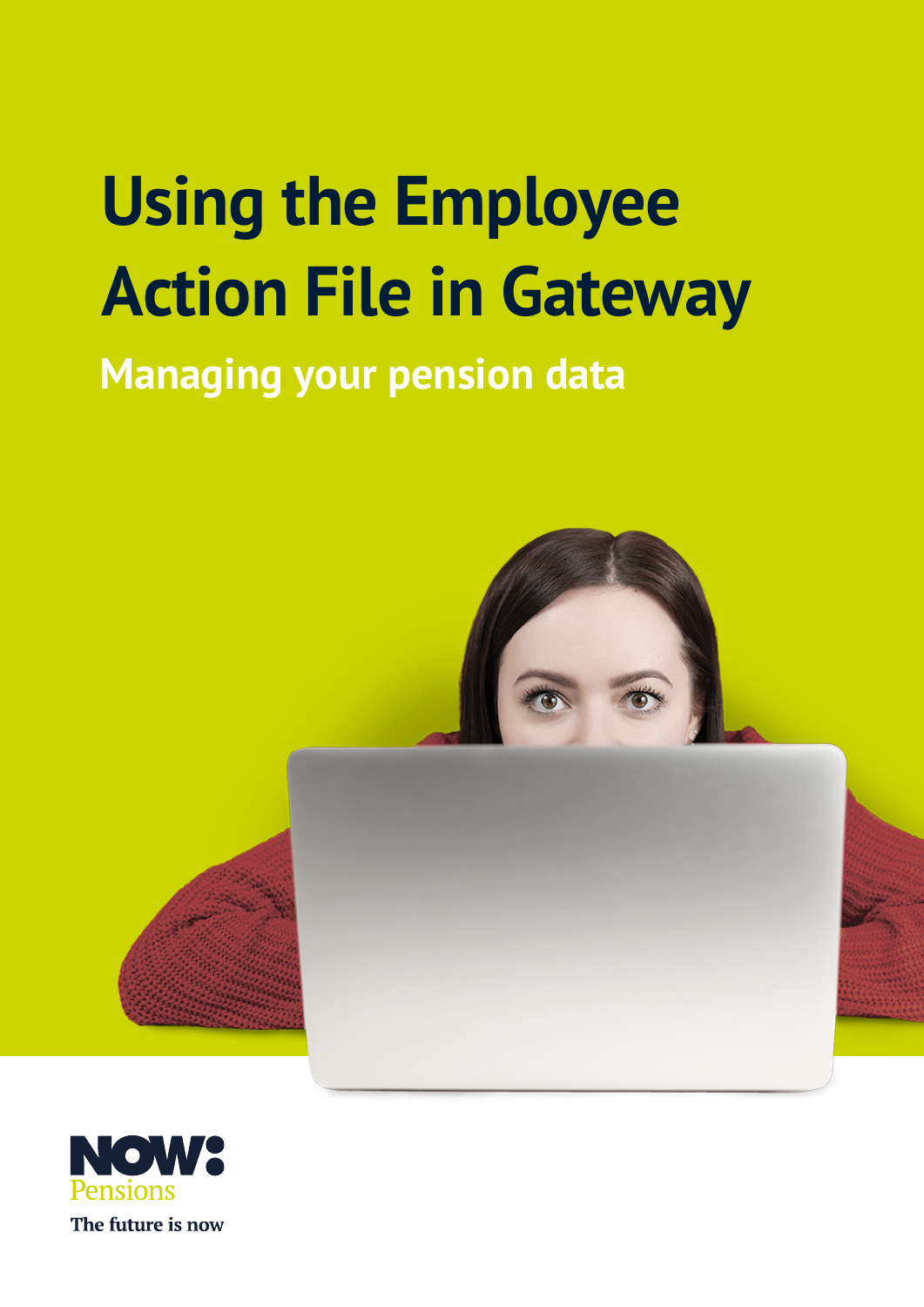# **Using the Employee Action File in Gateway**

## **Managing your pension data**



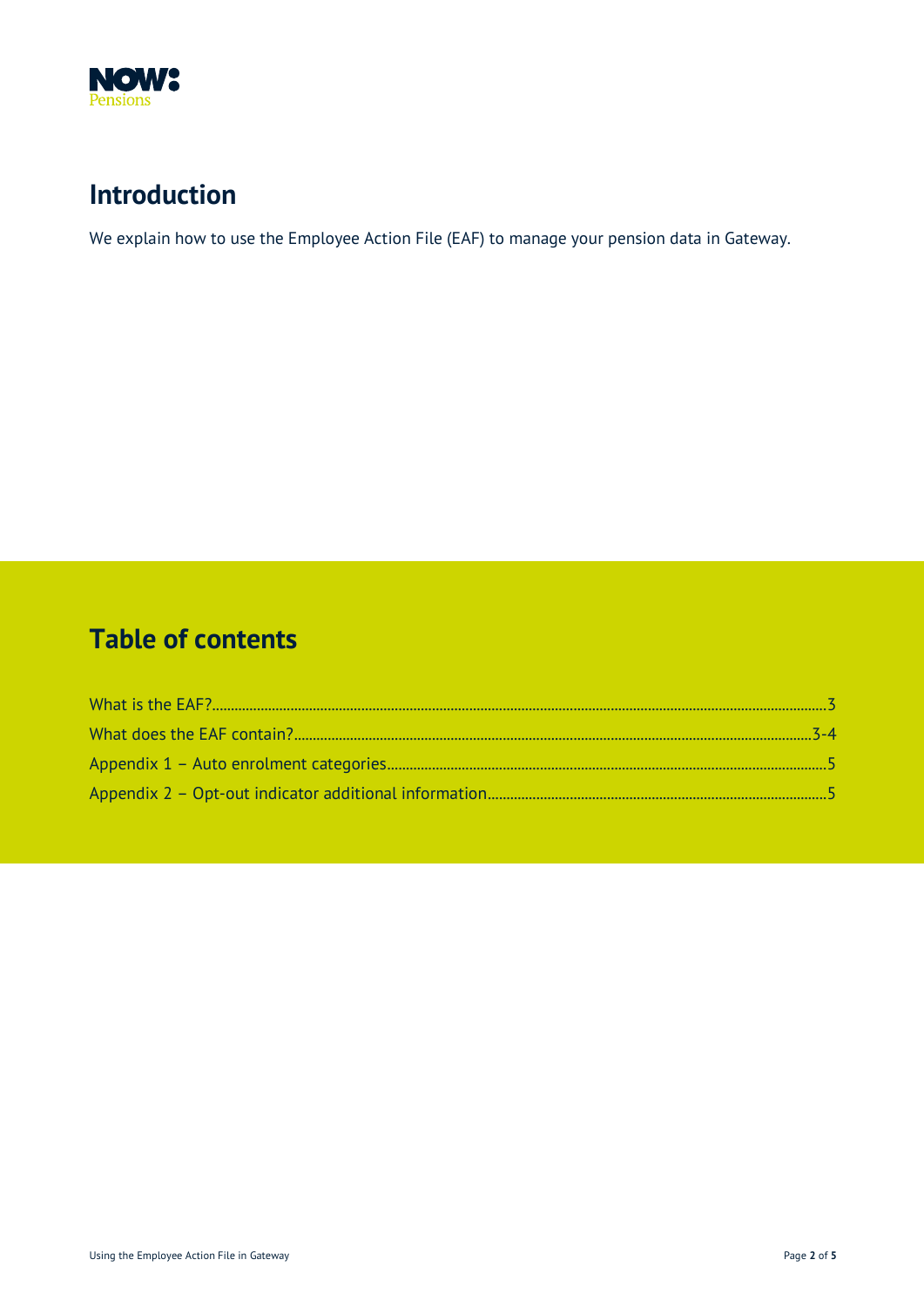

### **Introduction**

We explain how to use the Employee Action File (EAF) to manage your pension data in Gateway.

#### **Table of contents**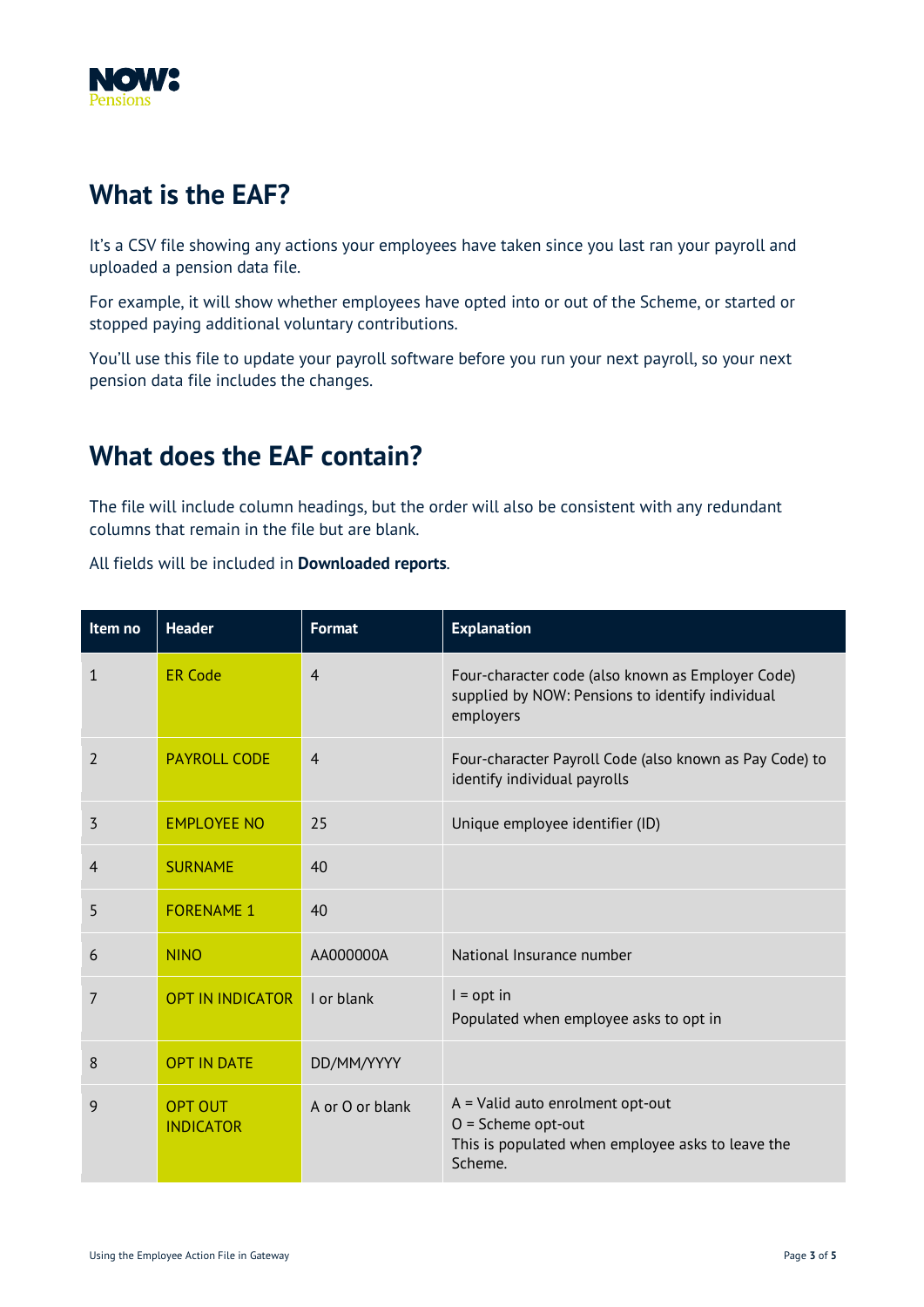<span id="page-2-0"></span>

#### **What is the EAF?**

It's a CSV file showing any actions your employees have taken since you last ran your payroll and uploaded a pension data file.

For example, it will show whether employees have opted into or out of the Scheme, or started or stopped paying additional voluntary contributions.

You'll use this file to update your payroll software before you run your next payroll, so your next pension data file includes the changes.

#### **What does the EAF contain?**

The file will include column headings, but the order will also be consistent with any redundant columns that remain in the file but are blank.

All fields will be included in **Downloaded reports**.

| Item no     | <b>Header</b>                      | <b>Format</b>   | <b>Explanation</b>                                                                                                         |
|-------------|------------------------------------|-----------------|----------------------------------------------------------------------------------------------------------------------------|
| $\mathbf 1$ | <b>ER Code</b>                     | $\overline{4}$  | Four-character code (also known as Employer Code)<br>supplied by NOW: Pensions to identify individual<br>employers         |
| 2           | <b>PAYROLL CODE</b>                | $\overline{4}$  | Four-character Payroll Code (also known as Pay Code) to<br>identify individual payrolls                                    |
| 3           | <b>EMPLOYEE NO</b>                 | 25              | Unique employee identifier (ID)                                                                                            |
| 4           | <b>SURNAME</b>                     | 40              |                                                                                                                            |
| 5           | <b>FORENAME 1</b>                  | 40              |                                                                                                                            |
| 6           | <b>NINO</b>                        | AA000000A       | National Insurance number                                                                                                  |
| 7           | <b>OPT IN INDICATOR</b>            | I or blank      | $I = opt in$<br>Populated when employee asks to opt in                                                                     |
| 8           | <b>OPT IN DATE</b>                 | DD/MM/YYYY      |                                                                                                                            |
| 9           | <b>OPT OUT</b><br><b>INDICATOR</b> | A or O or blank | $A =$ Valid auto enrolment opt-out<br>$O =$ Scheme opt-out<br>This is populated when employee asks to leave the<br>Scheme. |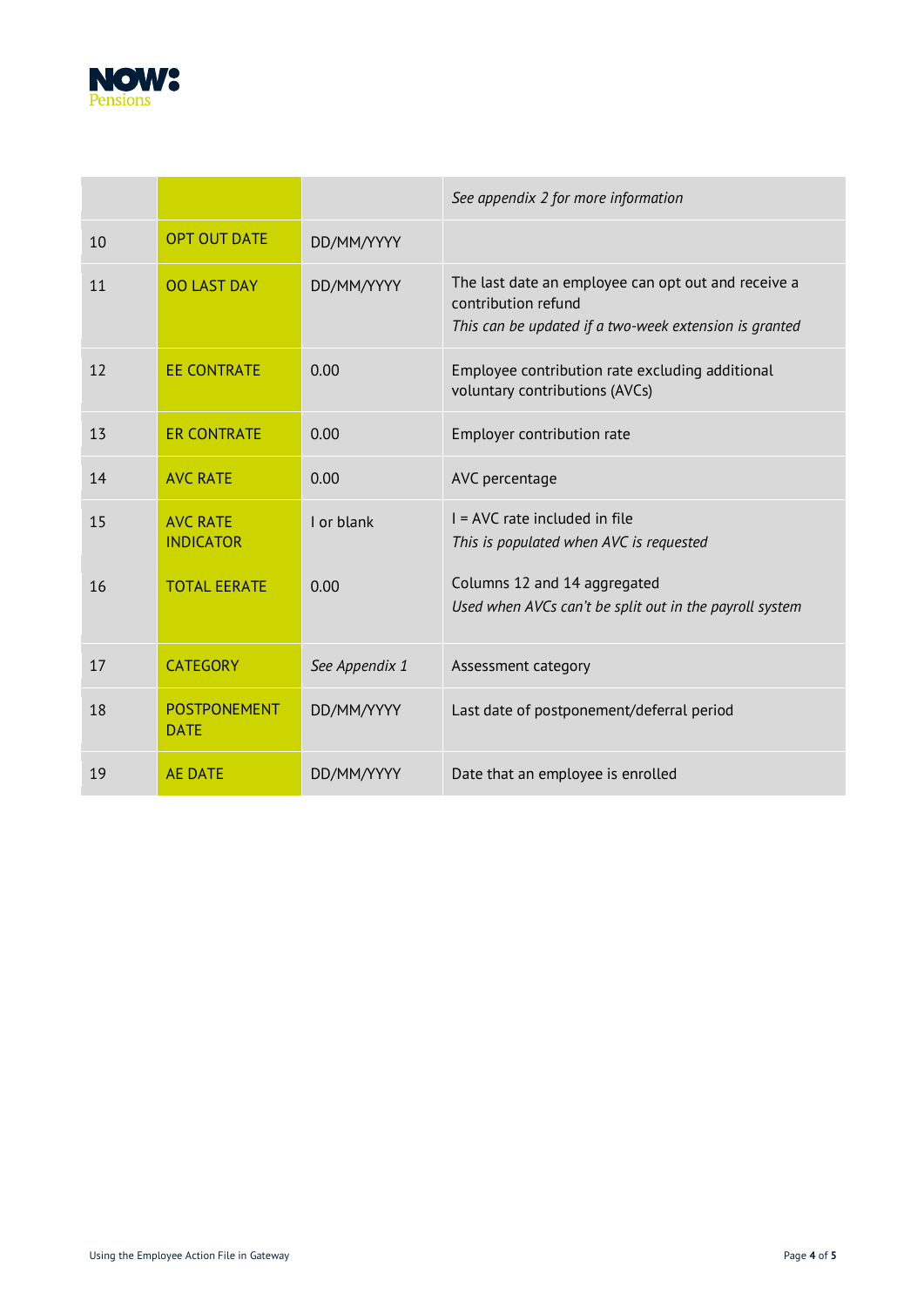

|    |                                     |                | See appendix 2 for more information                                                                                                  |
|----|-------------------------------------|----------------|--------------------------------------------------------------------------------------------------------------------------------------|
| 10 | <b>OPT OUT DATE</b>                 | DD/MM/YYYY     |                                                                                                                                      |
| 11 | <b>OO LAST DAY</b>                  | DD/MM/YYYY     | The last date an employee can opt out and receive a<br>contribution refund<br>This can be updated if a two-week extension is granted |
| 12 | <b>EE CONTRATE</b>                  | 0.00           | Employee contribution rate excluding additional<br>voluntary contributions (AVCs)                                                    |
| 13 | <b>ER CONTRATE</b>                  | 0.00           | Employer contribution rate                                                                                                           |
| 14 | <b>AVC RATE</b>                     | 0.00           | AVC percentage                                                                                                                       |
| 15 | <b>AVC RATE</b><br><b>INDICATOR</b> | I or blank     | I = AVC rate included in file<br>This is populated when AVC is requested                                                             |
| 16 | <b>TOTAL EERATE</b>                 | 0.00           | Columns 12 and 14 aggregated<br>Used when AVCs can't be split out in the payroll system                                              |
| 17 | <b>CATEGORY</b>                     | See Appendix 1 | Assessment category                                                                                                                  |
| 18 | <b>POSTPONEMENT</b><br><b>DATE</b>  | DD/MM/YYYY     | Last date of postponement/deferral period                                                                                            |
| 19 | <b>AE DATE</b>                      | DD/MM/YYYY     | Date that an employee is enrolled                                                                                                    |